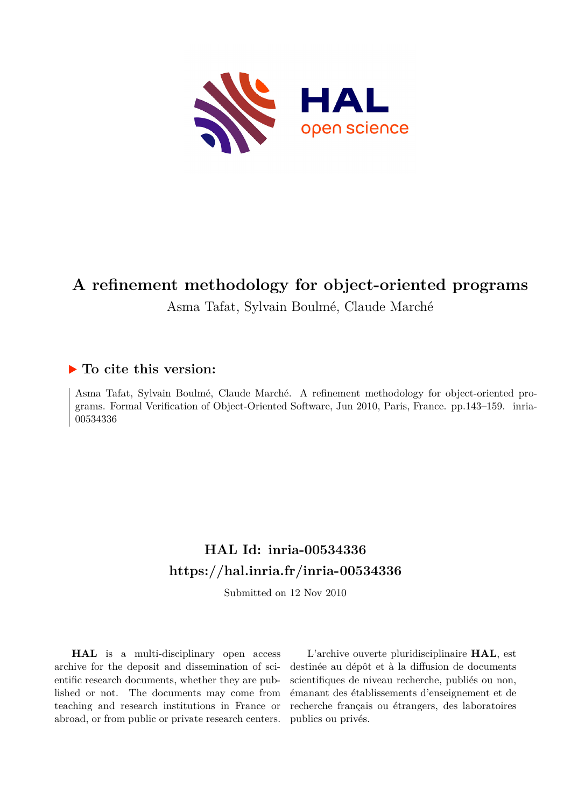

# **A refinement methodology for object-oriented programs**

Asma Tafat, Sylvain Boulmé, Claude Marché

# **To cite this version:**

Asma Tafat, Sylvain Boulmé, Claude Marché. A refinement methodology for object-oriented programs. Formal Verification of Object-Oriented Software, Jun 2010, Paris, France. pp.143–159. inria-00534336ff

# **HAL Id: inria-00534336 <https://hal.inria.fr/inria-00534336>**

Submitted on 12 Nov 2010

**HAL** is a multi-disciplinary open access archive for the deposit and dissemination of scientific research documents, whether they are published or not. The documents may come from teaching and research institutions in France or abroad, or from public or private research centers.

L'archive ouverte pluridisciplinaire **HAL**, est destinée au dépôt et à la diffusion de documents scientifiques de niveau recherche, publiés ou non, émanant des établissements d'enseignement et de recherche français ou étrangers, des laboratoires publics ou privés.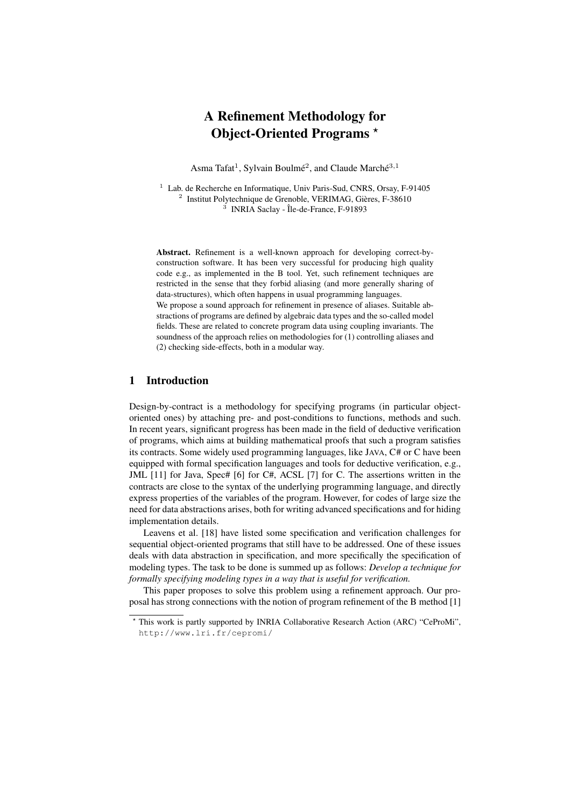# A Refinement Methodology for Object-Oriented Programs \*

Asma Tafat<sup>1</sup>, Sylvain Boulmé<sup>2</sup>, and Claude Marché<sup>3,1</sup>

<sup>1</sup> Lab. de Recherche en Informatique, Univ Paris-Sud, CNRS, Orsay, F-91405 2 Institut Polytechnique de Grenoble, VERIMAG, Gières, F-38610 3 INRIA Saclay - Île-de-France, F-91893

Abstract. Refinement is a well-known approach for developing correct-byconstruction software. It has been very successful for producing high quality code e.g., as implemented in the B tool. Yet, such refinement techniques are restricted in the sense that they forbid aliasing (and more generally sharing of data-structures), which often happens in usual programming languages. We propose a sound approach for refinement in presence of aliases. Suitable ab-

stractions of programs are defined by algebraic data types and the so-called model fields. These are related to concrete program data using coupling invariants. The soundness of the approach relies on methodologies for (1) controlling aliases and (2) checking side-effects, both in a modular way.

# 1 Introduction

Design-by-contract is a methodology for specifying programs (in particular objectoriented ones) by attaching pre- and post-conditions to functions, methods and such. In recent years, significant progress has been made in the field of deductive verification of programs, which aims at building mathematical proofs that such a program satisfies its contracts. Some widely used programming languages, like JAVA, C# or C have been equipped with formal specification languages and tools for deductive verification, e.g., JML [11] for Java, Spec# [6] for C#, ACSL [7] for C. The assertions written in the contracts are close to the syntax of the underlying programming language, and directly express properties of the variables of the program. However, for codes of large size the need for data abstractions arises, both for writing advanced specifications and for hiding implementation details.

Leavens et al. [18] have listed some specification and verification challenges for sequential object-oriented programs that still have to be addressed. One of these issues deals with data abstraction in specification, and more specifically the specification of modeling types. The task to be done is summed up as follows: *Develop a technique for formally specifying modeling types in a way that is useful for verification.*

This paper proposes to solve this problem using a refinement approach. Our proposal has strong connections with the notion of program refinement of the B method [1]

<sup>⋆</sup> This work is partly supported by INRIA Collaborative Research Action (ARC) "CeProMi", http://www.lri.fr/cepromi/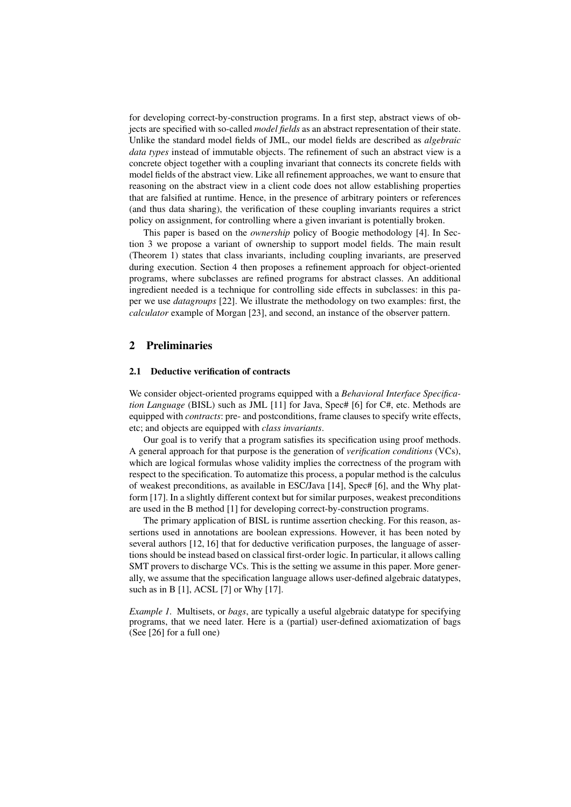for developing correct-by-construction programs. In a first step, abstract views of objects are specified with so-called *model fields* as an abstract representation of their state. Unlike the standard model fields of JML, our model fields are described as *algebraic data types* instead of immutable objects. The refinement of such an abstract view is a concrete object together with a coupling invariant that connects its concrete fields with model fields of the abstract view. Like all refinement approaches, we want to ensure that reasoning on the abstract view in a client code does not allow establishing properties that are falsified at runtime. Hence, in the presence of arbitrary pointers or references (and thus data sharing), the verification of these coupling invariants requires a strict policy on assignment, for controlling where a given invariant is potentially broken.

This paper is based on the *ownership* policy of Boogie methodology [4]. In Section 3 we propose a variant of ownership to support model fields. The main result (Theorem 1) states that class invariants, including coupling invariants, are preserved during execution. Section 4 then proposes a refinement approach for object-oriented programs, where subclasses are refined programs for abstract classes. An additional ingredient needed is a technique for controlling side effects in subclasses: in this paper we use *datagroups* [22]. We illustrate the methodology on two examples: first, the *calculator* example of Morgan [23], and second, an instance of the observer pattern.

# 2 Preliminaries

## 2.1 Deductive verification of contracts

We consider object-oriented programs equipped with a *Behavioral Interface Specification Language* (BISL) such as JML [11] for Java, Spec# [6] for C#, etc. Methods are equipped with *contracts*: pre- and postconditions, frame clauses to specify write effects, etc; and objects are equipped with *class invariants*.

Our goal is to verify that a program satisfies its specification using proof methods. A general approach for that purpose is the generation of *verification conditions* (VCs), which are logical formulas whose validity implies the correctness of the program with respect to the specification. To automatize this process, a popular method is the calculus of weakest preconditions, as available in ESC/Java [14], Spec# [6], and the Why platform [17]. In a slightly different context but for similar purposes, weakest preconditions are used in the B method [1] for developing correct-by-construction programs.

The primary application of BISL is runtime assertion checking. For this reason, assertions used in annotations are boolean expressions. However, it has been noted by several authors [12, 16] that for deductive verification purposes, the language of assertions should be instead based on classical first-order logic. In particular, it allows calling SMT provers to discharge VCs. This is the setting we assume in this paper. More generally, we assume that the specification language allows user-defined algebraic datatypes, such as in B [1], ACSL [7] or Why [17].

*Example 1.* Multisets, or *bags*, are typically a useful algebraic datatype for specifying programs, that we need later. Here is a (partial) user-defined axiomatization of bags (See [26] for a full one)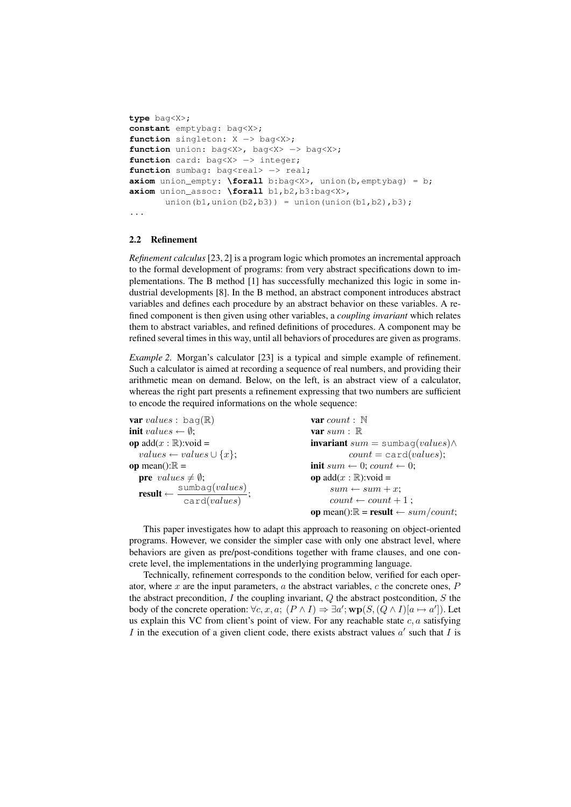```
type bag<X>;
constant emptybag: bag<X>;
function singleton: X −> bag<X>;
function union: bag<X>, bag<X> -> bag<X>;
function card: bag<X> -> integer;
function sumbag: bag<real> -> real;
axiom union_empty: \forall b:bag<X>, union(b,emptybag) = b;
axiom union_assoc: \forall b1,b2,b3:bag<X>,
       union(b1,union(b2,b3)) = union(union(b1,b2),b3);
...
```
# 2.2 Refinement

*Refinement calculus* [23, 2] is a program logic which promotes an incremental approach to the formal development of programs: from very abstract specifications down to implementations. The B method [1] has successfully mechanized this logic in some industrial developments [8]. In the B method, an abstract component introduces abstract variables and defines each procedure by an abstract behavior on these variables. A refined component is then given using other variables, a *coupling invariant* which relates them to abstract variables, and refined definitions of procedures. A component may be refined several times in this way, until all behaviors of procedures are given as programs.

*Example 2.* Morgan's calculator [23] is a typical and simple example of refinement. Such a calculator is aimed at recording a sequence of real numbers, and providing their arithmetic mean on demand. Below, on the left, is an abstract view of a calculator, whereas the right part presents a refinement expressing that two numbers are sufficient to encode the required informations on the whole sequence:

| <b>var</b> <i>values</i> : bag( $\mathbb{R}$ )                             | <b>var</b> count : $\mathbb{N}$                                                |
|----------------------------------------------------------------------------|--------------------------------------------------------------------------------|
| <b>init</b> values $\leftarrow \emptyset$ ;                                | <b>var</b> $sum : \mathbb{R}$                                                  |
| op $add(x : \mathbb{R})$ :void =                                           | <b>invariant</b> $sum =$ sumbag( <i>values</i> ) $\wedge$                      |
| $values \leftarrow values \cup \{x\};$                                     | $count = \text{card}(values);$                                                 |
| op mean(): $\mathbb{R}$ =                                                  | <b>init</b> sum $\leftarrow$ 0; count $\leftarrow$ 0;                          |
| <b>pre</b> <i>values</i> $\neq \emptyset$ ;                                | op $add(x : \mathbb{R})$ : void =                                              |
| $result \leftarrow \frac{\texttt{sumbag}(values)}{\texttt{card}(values)};$ | $sum \leftarrow sum + x$ ;                                                     |
|                                                                            | $count \leftarrow count + 1$ ;                                                 |
|                                                                            | <b>op</b> mean(): $\mathbb{R}$ = <b>result</b> $\leftarrow$ <i>sum/count</i> ; |

This paper investigates how to adapt this approach to reasoning on object-oriented programs. However, we consider the simpler case with only one abstract level, where behaviors are given as pre/post-conditions together with frame clauses, and one concrete level, the implementations in the underlying programming language.

Technically, refinement corresponds to the condition below, verified for each operator, where  $x$  are the input parameters,  $a$  the abstract variables,  $c$  the concrete ones,  $P$ the abstract precondition,  $I$  the coupling invariant,  $Q$  the abstract postcondition,  $S$  the body of the concrete operation:  $\forall c, x, a; (P \wedge I) \Rightarrow \exists a'; \mathbf{wp}(S, (Q \wedge I)[a \mapsto a'])$ . Let us explain this VC from client's point of view. For any reachable state  $c, a$  satisfying I in the execution of a given client code, there exists abstract values  $a'$  such that  $I$  is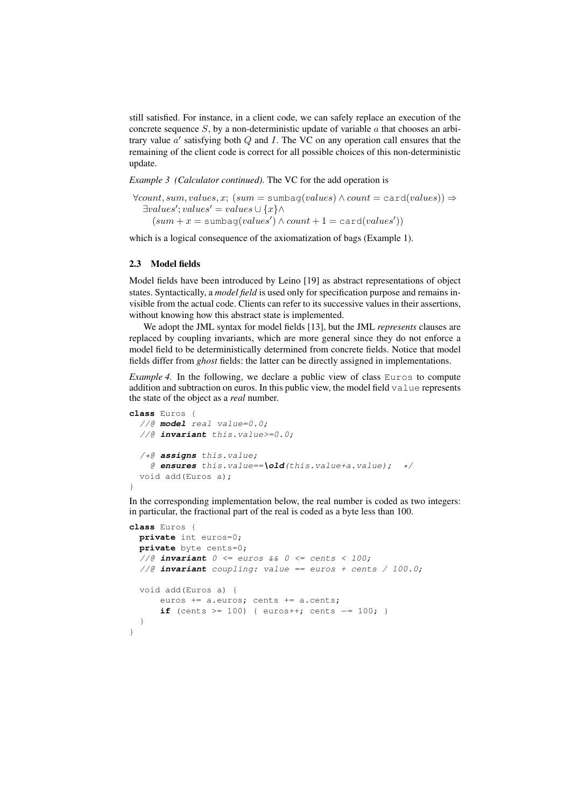still satisfied. For instance, in a client code, we can safely replace an execution of the concrete sequence  $S$ , by a non-deterministic update of variable  $\alpha$  that chooses an arbitrary value  $a'$  satisfying both  $Q$  and  $I$ . The VC on any operation call ensures that the remaining of the client code is correct for all possible choices of this non-deterministic update.

*Example 3 (Calculator continued).* The VC for the add operation is

```
\forall count, sum, values, x; (sum = sumbag(values) \land count = card(values)) \Rightarrow\exists values'; values' = values \cup \{x\} \wedge(sum + x = sumbag(values') \wedge count + 1 = card(values'))
```
which is a logical consequence of the axiomatization of bags (Example 1).

#### 2.3 Model fields

Model fields have been introduced by Leino [19] as abstract representations of object states. Syntactically, a *model field* is used only for specification purpose and remains invisible from the actual code. Clients can refer to its successive values in their assertions, without knowing how this abstract state is implemented.

We adopt the JML syntax for model fields [13], but the JML *represents* clauses are replaced by coupling invariants, which are more general since they do not enforce a model field to be deterministically determined from concrete fields. Notice that model fields differ from *ghost* fields: the latter can be directly assigned in implementations.

*Example 4.* In the following, we declare a public view of class Euros to compute addition and subtraction on euros. In this public view, the model field value represents the state of the object as a *real* number.

```
class Euros {
 //@ model real value=0.0;
  //@ invariant this.value>=0.0;
  /*@ assigns this.value;
    @ ensures this.value==\old(this.value+a.value); */
 void add(Euros a);
}
```
In the corresponding implementation below, the real number is coded as two integers: in particular, the fractional part of the real is coded as a byte less than 100.

```
class Euros {
 private int euros=0;
 private byte cents=0;
  //@ invariant 0 <= euros && 0 <= cents < 100;
 //@ invariant coupling: value == euros + cents / 100.0;
 void add(Euros a) {
     euros += a.euros; cents += a.cents;
      if (cents >= 100) { euros++; cents −= 100; }
 }
}
```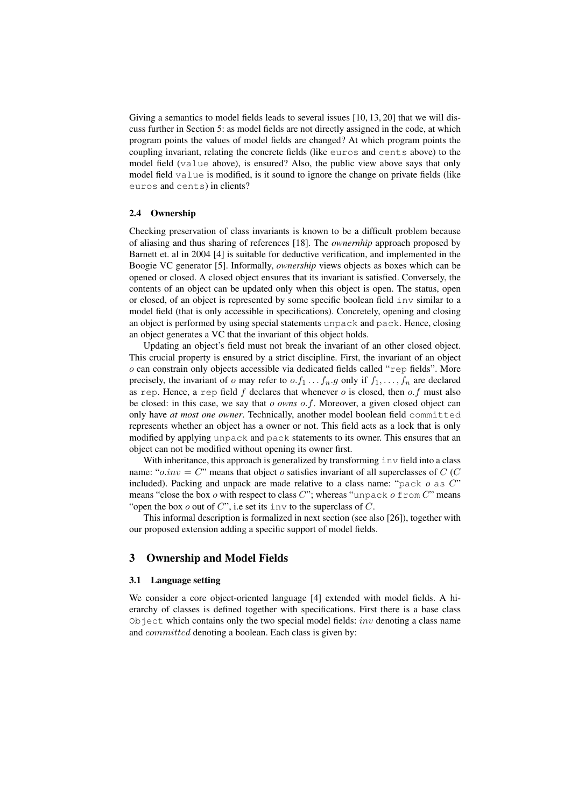Giving a semantics to model fields leads to several issues [10, 13, 20] that we will discuss further in Section 5: as model fields are not directly assigned in the code, at which program points the values of model fields are changed? At which program points the coupling invariant, relating the concrete fields (like euros and cents above) to the model field (value above), is ensured? Also, the public view above says that only model field value is modified, is it sound to ignore the change on private fields (like euros and cents) in clients?

#### 2.4 Ownership

Checking preservation of class invariants is known to be a difficult problem because of aliasing and thus sharing of references [18]. The *ownernhip* approach proposed by Barnett et. al in 2004 [4] is suitable for deductive verification, and implemented in the Boogie VC generator [5]. Informally, *ownership* views objects as boxes which can be opened or closed. A closed object ensures that its invariant is satisfied. Conversely, the contents of an object can be updated only when this object is open. The status, open or closed, of an object is represented by some specific boolean field inv similar to a model field (that is only accessible in specifications). Concretely, opening and closing an object is performed by using special statements unpack and pack. Hence, closing an object generates a VC that the invariant of this object holds.

Updating an object's field must not break the invariant of an other closed object. This crucial property is ensured by a strict discipline. First, the invariant of an object o can constrain only objects accessible via dedicated fields called "rep fields". More precisely, the invariant of o may refer to  $o.f_1 \ldots f_n.g$  only if  $f_1, \ldots, f_n$  are declared as rep. Hence, a rep field  $f$  declares that whenever  $o$  is closed, then  $o.f$  must also be closed: in this case, we say that o *owns* o.f. Moreover, a given closed object can only have *at most one owner*. Technically, another model boolean field committed represents whether an object has a owner or not. This field acts as a lock that is only modified by applying unpack and pack statements to its owner. This ensures that an object can not be modified without opening its owner first.

With inheritance, this approach is generalized by transforming inv field into a class name: " $o.inv = C$ " means that object o satisfies invariant of all superclasses of C (C) included). Packing and unpack are made relative to a class name: "pack  $o$  as  $C$ " means "close the box  $o$  with respect to class  $C$ "; whereas "unpack  $o$  from  $C$ " means "open the box  $o$  out of  $C$ ", i.e set its inv to the superclass of  $C$ .

This informal description is formalized in next section (see also [26]), together with our proposed extension adding a specific support of model fields.

#### 3 Ownership and Model Fields

#### 3.1 Language setting

We consider a core object-oriented language [4] extended with model fields. A hierarchy of classes is defined together with specifications. First there is a base class Object which contains only the two special model fields:  $inv$  denoting a class name and *committed* denoting a boolean. Each class is given by: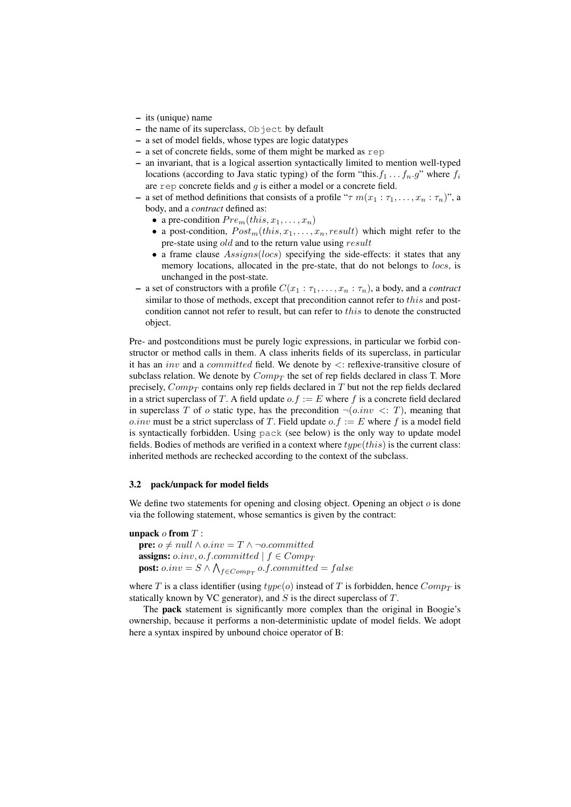- its (unique) name
- the name of its superclass, Object by default
- a set of model fields, whose types are logic datatypes
- a set of concrete fields, some of them might be marked as rep
- an invariant, that is a logical assertion syntactically limited to mention well-typed locations (according to Java static typing) of the form "this.  $f_1 \ldots f_n g$ " where  $f_i$ are rep concrete fields and  $g$  is either a model or a concrete field.
- a set of method definitions that consists of a profile " $\tau$   $m(x_1 : \tau_1, \ldots, x_n : \tau_n)$ ", a body, and a *contract* defined as:
	- a pre-condition  $Pre_m(this, x_1, \ldots, x_n)$
	- a post-condition,  $Post_m(this, x_1, \ldots, x_n, result)$  which might refer to the pre-state using old and to the return value using result
	- a frame clause  $Assigns(locs)$  specifying the side-effects: it states that any memory locations, allocated in the pre-state, that do not belongs to *locs*, is unchanged in the post-state.
- a set of constructors with a profile  $C(x_1 : \tau_1, \ldots, x_n : \tau_n)$ , a body, and a *contract* similar to those of methods, except that precondition cannot refer to this and postcondition cannot not refer to result, but can refer to this to denote the constructed object.

Pre- and postconditions must be purely logic expressions, in particular we forbid constructor or method calls in them. A class inherits fields of its superclass, in particular it has an inv and a committed field. We denote by  $\lt$ : reflexive-transitive closure of subclass relation. We denote by  $Comp_{T}$  the set of rep fields declared in class T. More precisely,  $Comp<sub>T</sub>$  contains only rep fields declared in T but not the rep fields declared in a strict superclass of T. A field update  $o.f := E$  where f is a concrete field declared in superclass T of o static type, has the precondition  $\neg$ (*o.inv <: T*), meaning that *o.inv* must be a strict superclass of T. Field update  $o.f := E$  where f is a model field is syntactically forbidden. Using pack (see below) is the only way to update model fields. Bodies of methods are verified in a context where  $type(this)$  is the current class: inherited methods are rechecked according to the context of the subclass.

#### 3.2 pack/unpack for model fields

We define two statements for opening and closing object. Opening an object  $o$  is done via the following statement, whose semantics is given by the contract:

unpack  $o$  from  $T$  :

**pre:**  $o \neq null \land o.inv = T \land \neg o. committed$ **assigns:**  $o.inv, o.f.committed \mid f \in Comp_T$  $\textbf{post:} \ o.\textit{inv} = S \land \bigwedge_{f \in Comp_T} o.f.\textit{committed} = \textit{false}$ 

where T is a class identifier (using  $type(o)$  instead of T is forbidden, hence  $Comp_T$  is statically known by VC generator), and  $S$  is the direct superclass of  $T$ .

The pack statement is significantly more complex than the original in Boogie's ownership, because it performs a non-deterministic update of model fields. We adopt here a syntax inspired by unbound choice operator of B: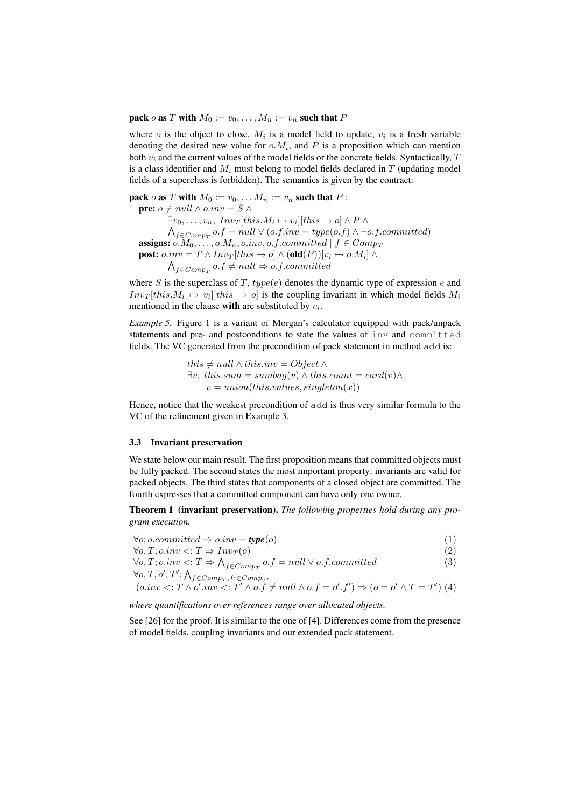pack o as T with  $M_0 := v_0, \ldots, M_n := v_n$  such that P

where  $o$  is the object to close,  $M_i$  is a model field to update,  $v_i$  is a fresh variable denoting the desired new value for  $o.M_i$ , and P is a proposition which can mention both  $v_i$  and the current values of the model fields or the concrete fields. Syntactically,  $T$ is a class identifier and  $M_i$  must belong to model fields declared in  $T$  (updating model fields of a superclass is forbidden). The semantics is given by the contract:

pack o as T with  $M_0 := v_0, \ldots M_n := v_n$  such that P :

**pre:**  $o \neq null \land o.inv = S \land$  $\exists v_0, \ldots, v_n, \ Inv_T[this \ldots \rightarrow v_i][this \mapsto o] \wedge P \wedge$  $\bigwedge_{f\in Comp_T} o.f = null \vee (o.f.inv = type(o.f) \wedge \neg o.f. committed)$ assigns:  $o.M_0, \ldots, o.M_n, o.inv, o.f. committed \mid f \in Comp_T$ post:  $o.\mathit{inv} = T \wedge Inv_T[\mathit{this} \mapsto o] \wedge (\mathbf{old}(P))[v_i \mapsto o.M_i] \wedge$  $\bigwedge_{f\in Comp_T} o.f \neq null \Rightarrow o.f. committed$ 

where S is the superclass of T,  $type(e)$  denotes the dynamic type of expression e and  $Inv_T[this.M_i \rightarrow v_i][this \rightarrow o]$  is the coupling invariant in which model fields  $M_i$ mentioned in the clause with are substituted by  $v_i$ .

*Example 5.* Figure 1 is a variant of Morgan's calculator equipped with pack/unpack statements and pre- and postconditions to state the values of inv and committed fields. The VC generated from the precondition of pack statement in method add is:

> this  $\neq null \land this.inv = Object \land$  $\exists v, this.sum = sumbag(v) \wedge this.count = card(v) \wedge$  $v = union(this.values, singleton(x))$

Hence, notice that the weakest precondition of add is thus very similar formula to the VC of the refinement given in Example 3.

#### 3.3 Invariant preservation

We state below our main result. The first proposition means that committed objects must be fully packed. The second states the most important property: invariants are valid for packed objects. The third states that components of a closed object are committed. The fourth expresses that a committed component can have only one owner.

Theorem 1 (invariant preservation). *The following properties hold during any program execution.*

| $\forall o; o. committed \Rightarrow o.inv = type(o)$                                                              | (1) |
|--------------------------------------------------------------------------------------------------------------------|-----|
| $\forall o, T; o.inv \leq T \Rightarrow Inv_T(o)$                                                                  | (2) |
| $\forall o, T; o.inv \leq T \Rightarrow \bigwedge_{f \in Comp_T} o.f = null \vee o.f. committed$                   | (3) |
| $\forall o, T, o', T'; \bigwedge_{f \in Comp_T, f' \in Comp_{T'}}$                                                 |     |
| $(o.inv \le T \wedge o'.inv \le T' \wedge o.f \ne null \wedge o.f = o'.f') \Rightarrow (o = o' \wedge T = T')$ (4) |     |

*where quantifications over references range over allocated objects.*

See [26] for the proof. It is similar to the one of [4]. Differences come from the presence of model fields, coupling invariants and our extended pack statement.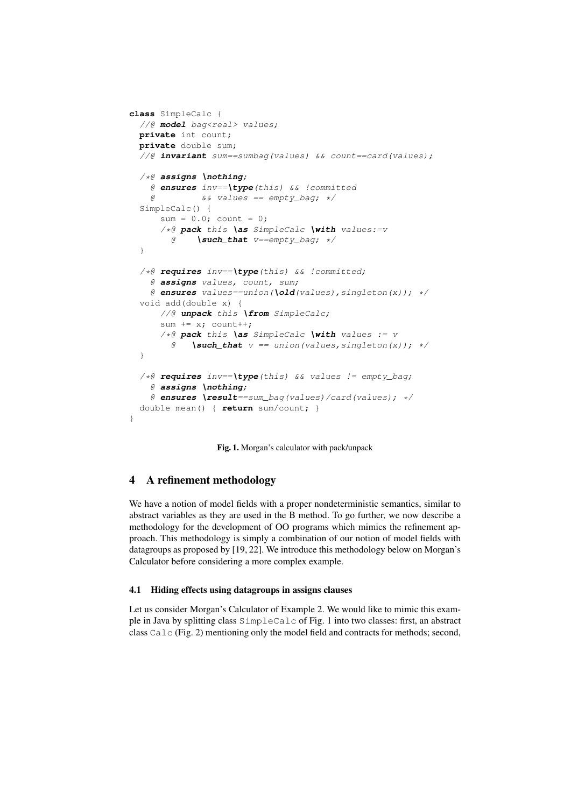```
class SimpleCalc {
  //@ model bag<real> values;
 private int count;
 private double sum;
  //@ invariant sum==sumbag(values) && count==card(values);
  /*@ assigns \nothing;
    @ ensures inv==\type(this) && !committed
             @ && values == empty_bag; */
  SimpleCalc() {
     sum = 0.0; count = 0;/*@ pack this \as SimpleCalc \with values:=v
             @ \such_that v==empty_bag; */
  }
  /*@ requires inv==\type(this) && !committed;
    @ assigns values, count, sum;
    @ ensures values==union(\old(values),singleton(x)); */
  void add(double x) {
      //@ unpack this \from SimpleCalc;
      sum += x; count++;
      /*@ pack this \as SimpleCalc \with values := v
        @ \such_that v == union(values,singleton(x)); */
  }
  /*@ requires inv==\type(this) && values != empty_bag;
    @ assigns \nothing;
    @ ensures \result==sum_bag(values)/card(values); */
  double mean() { return sum/count; }
}
```
Fig. 1. Morgan's calculator with pack/unpack

# 4 A refinement methodology

We have a notion of model fields with a proper nondeterministic semantics, similar to abstract variables as they are used in the B method. To go further, we now describe a methodology for the development of OO programs which mimics the refinement approach. This methodology is simply a combination of our notion of model fields with datagroups as proposed by [19, 22]. We introduce this methodology below on Morgan's Calculator before considering a more complex example.

## 4.1 Hiding effects using datagroups in assigns clauses

Let us consider Morgan's Calculator of Example 2. We would like to mimic this example in Java by splitting class SimpleCalc of Fig. 1 into two classes: first, an abstract class Calc (Fig. 2) mentioning only the model field and contracts for methods; second,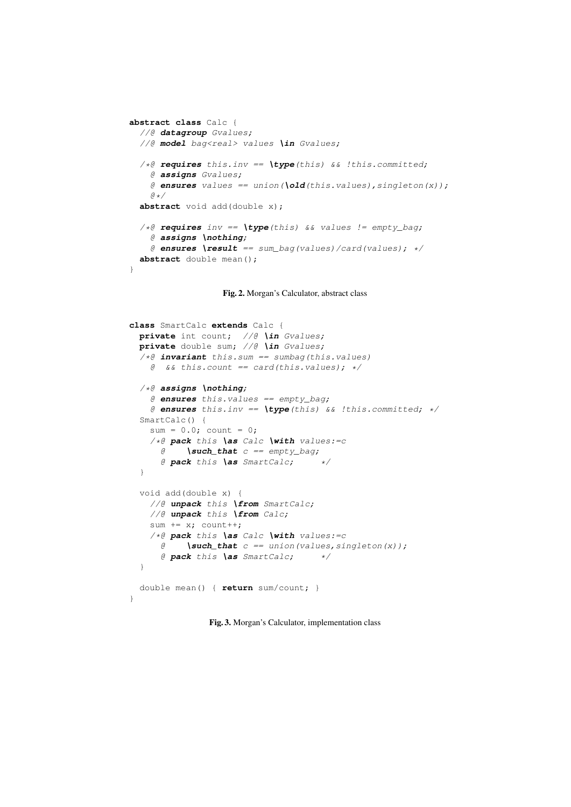```
abstract class Calc {
 //@ datagroup Gvalues;
  //@ model bag<real> values \in Gvalues;
  /*@ requires this.inv == \type(this) && !this.committed;
    @ assigns Gvalues;
    @ ensures values == union(\old(this.values),singleton(x));
    @*/
  abstract void add(double x);
  /*@ requires inv == \type(this) && values != empty_bag;
    @ assigns \nothing;
    @ ensures \result == sum_bag(values)/card(values); */
 abstract double mean();
}
```
Fig. 2. Morgan's Calculator, abstract class

```
class SmartCalc extends Calc {
 private int count; //@ \in Gvalues;
 private double sum; //@ \in Gvalues;
 /*@ invariant this.sum == sumbag(this.values)
   @ && this.count == card(this.values); */
  /*@ assigns \nothing;
    @ ensures this.values == empty_bag;
    @ ensures this.inv == \type(this) && !this.committed; */
  SmartCalc() {
   sum = 0.0; count = 0;
    /*@ pack this \as Calc \with values:=c
      @ \such_that c == empty_bag;
      @ pack this \as SmartCalc; */
  }
 void add(double x) {
    //@ unpack this \from SmartCalc;
   //@ unpack this \from Calc;
   sum += x; count++;
    /*@ pack this \as Calc \with values:=c
      \theta \such_that c = \text{union}(values, singleton(x));@ pack this \as SmartCalc; */
  }
 double mean() { return sum/count; }
}
```
Fig. 3. Morgan's Calculator, implementation class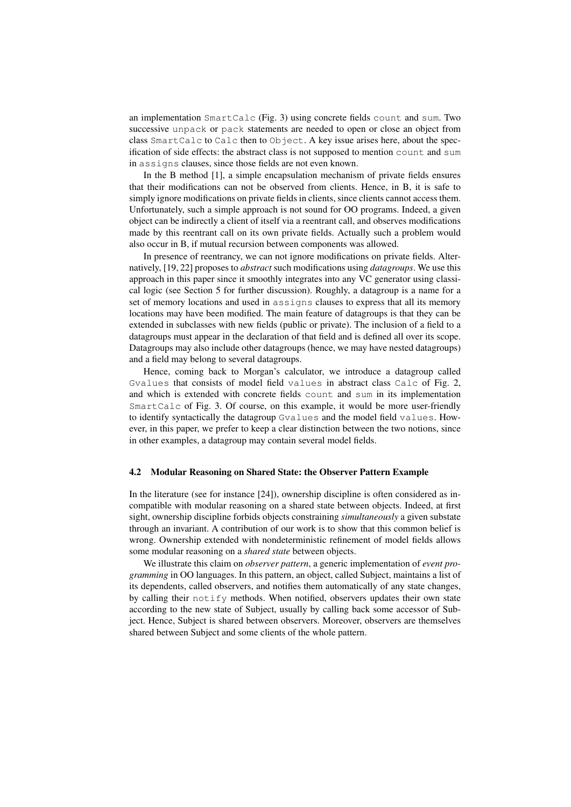an implementation SmartCalc (Fig. 3) using concrete fields count and sum. Two successive unpack or pack statements are needed to open or close an object from class SmartCalc to Calc then to Object. A key issue arises here, about the specification of side effects: the abstract class is not supposed to mention count and sum in assigns clauses, since those fields are not even known.

In the B method [1], a simple encapsulation mechanism of private fields ensures that their modifications can not be observed from clients. Hence, in B, it is safe to simply ignore modifications on private fields in clients, since clients cannot access them. Unfortunately, such a simple approach is not sound for OO programs. Indeed, a given object can be indirectly a client of itself via a reentrant call, and observes modifications made by this reentrant call on its own private fields. Actually such a problem would also occur in B, if mutual recursion between components was allowed.

In presence of reentrancy, we can not ignore modifications on private fields. Alternatively, [19, 22] proposes to *abstract* such modifications using *datagroups*. We use this approach in this paper since it smoothly integrates into any VC generator using classical logic (see Section 5 for further discussion). Roughly, a datagroup is a name for a set of memory locations and used in assigns clauses to express that all its memory locations may have been modified. The main feature of datagroups is that they can be extended in subclasses with new fields (public or private). The inclusion of a field to a datagroups must appear in the declaration of that field and is defined all over its scope. Datagroups may also include other datagroups (hence, we may have nested datagroups) and a field may belong to several datagroups.

Hence, coming back to Morgan's calculator, we introduce a datagroup called Gvalues that consists of model field values in abstract class Calc of Fig. 2, and which is extended with concrete fields count and sum in its implementation SmartCalc of Fig. 3. Of course, on this example, it would be more user-friendly to identify syntactically the datagroup Gvalues and the model field values. However, in this paper, we prefer to keep a clear distinction between the two notions, since in other examples, a datagroup may contain several model fields.

#### 4.2 Modular Reasoning on Shared State: the Observer Pattern Example

In the literature (see for instance [24]), ownership discipline is often considered as incompatible with modular reasoning on a shared state between objects. Indeed, at first sight, ownership discipline forbids objects constraining *simultaneously* a given substate through an invariant. A contribution of our work is to show that this common belief is wrong. Ownership extended with nondeterministic refinement of model fields allows some modular reasoning on a *shared state* between objects.

We illustrate this claim on *observer pattern*, a generic implementation of *event programming* in OO languages. In this pattern, an object, called Subject, maintains a list of its dependents, called observers, and notifies them automatically of any state changes, by calling their notify methods. When notified, observers updates their own state according to the new state of Subject, usually by calling back some accessor of Subject. Hence, Subject is shared between observers. Moreover, observers are themselves shared between Subject and some clients of the whole pattern.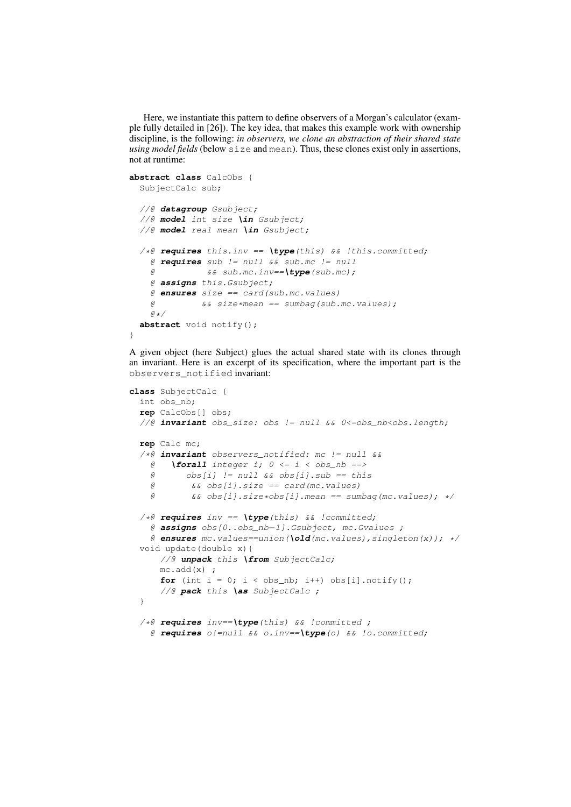Here, we instantiate this pattern to define observers of a Morgan's calculator (example fully detailed in [26]). The key idea, that makes this example work with ownership discipline, is the following: *in observers, we clone an abstraction of their shared state using model fields* (below size and mean). Thus, these clones exist only in assertions, not at runtime:

```
abstract class CalcObs {
 SubjectCalc sub;
 //@ datagroup Gsubject;
 //@ model int size \in Gsubject;
 //@ model real mean \in Gsubject;
  /*@ requires this.inv == \type(this) && !this.committed;
   @ requires sub != null && sub.mc != null
   @ && sub.mc.inv==\type(sub.mc);
   @ assigns this.Gsubject;
   @ ensures size == card(sub.mc.values)
   @ && size*mean == sumbag(sub.mc.values);
   @*/
 abstract void notify();
}
```
A given object (here Subject) glues the actual shared state with its clones through an invariant. Here is an excerpt of its specification, where the important part is the observers\_notified invariant:

```
class SubjectCalc {
 int obs_nb;
  rep CalcObs[] obs;
  //@ invariant obs_size: obs != null && 0<=obs_nb<obs.length;
  rep Calc mc;
  /*@ invariant observers_notified: mc != null &&
       \forall forall integer i; 0 \leq i \leq obs_{nb} ==@ obs[i] != null && obs[i].sub == this
    @ && obs[i].size == card(mc.values)
    @ && obs[i].size*obs[i].mean == sumbag(mc.values); */
  /*@ requires inv == \type(this) && !committed;
    @ assigns obs[0..obs_nb−1].Gsubject, mc.Gvalues ;
    @ ensures mc.values==union(\old(mc.values),singleton(x)); */
  void update(double x){
      //@ unpack this \from SubjectCalc;
      mc.add(x) ;
      for (int i = 0; i < obs_{nb}; i++) obs[i].notify();
      //@ pack this \as SubjectCalc ;
  }
  /*@ requires inv==\type(this) && !committed ;
    @ requires o!=null && o.inv==\type(o) && !o.committed;
```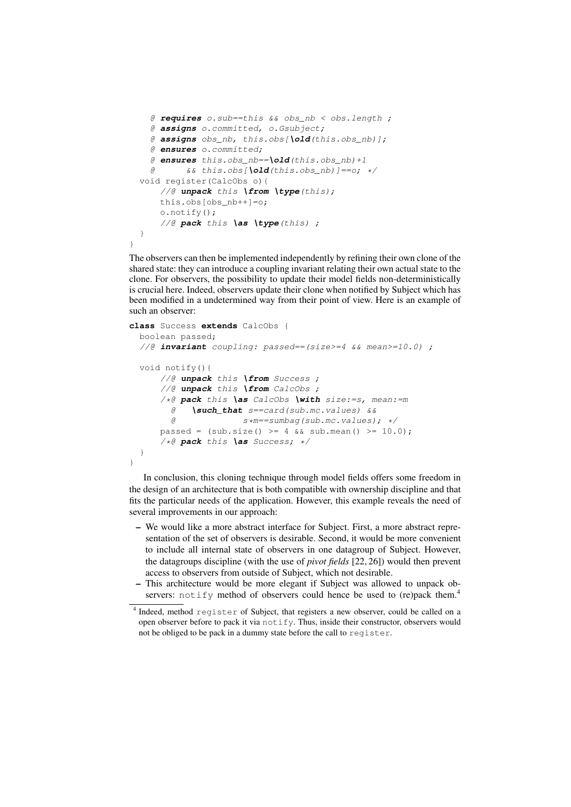```
@ requires o.sub==this && obs_nb < obs.length ;
  @ assigns o.committed, o.Gsubject;
  @ assigns obs_nb, this.obs[\old(this.obs_nb)];
  @ ensures o.committed;
  @ ensures this.obs_nb==\old(this.obs_nb)+1
  @ && this.obs[\old(this.obs_nb)]==o; */
void register(CalcObs o){
   //@ unpack this \from \type(this);
   this.obs[obs_nb++]=o;
   o.notify();
    //@ pack this \as \type(this) ;
}
```
}

The observers can then be implemented independently by refining their own clone of the shared state: they can introduce a coupling invariant relating their own actual state to the clone. For observers, the possibility to update their model fields non-deterministically is crucial here. Indeed, observers update their clone when notified by Subject which has been modified in a undetermined way from their point of view. Here is an example of such an observer:

```
class Success extends CalcObs {
  boolean passed;
  //@ invariant coupling: passed==(size>=4 && mean>=10.0) ;
  void notify(){
      //@ unpack this \from Success ;
      //@ unpack this \from CalcObs ;
      /* pack this \as CalcObs \with size:=s, mean:=m<br>
a Nsuch that s=card(sub mc values) \&&@ \such_that s==card(sub.mc.values) &&
        @ s*m==sumbag(sub.mc.values); */
      passed = (sub.size() > = 4 & & sub.macan() > = 10.0);/*@ pack this \as Success; */
  }
}
```
In conclusion, this cloning technique through model fields offers some freedom in the design of an architecture that is both compatible with ownership discipline and that fits the particular needs of the application. However, this example reveals the need of several improvements in our approach:

- We would like a more abstract interface for Subject. First, a more abstract representation of the set of observers is desirable. Second, it would be more convenient to include all internal state of observers in one datagroup of Subject. However, the datagroups discipline (with the use of *pivot fields* [22, 26]) would then prevent access to observers from outside of Subject, which not desirable.
- This architecture would be more elegant if Subject was allowed to unpack observers: notify method of observers could hence be used to (re)pack them.<sup>4</sup>

<sup>&</sup>lt;sup>4</sup> Indeed, method register of Subject, that registers a new observer, could be called on a open observer before to pack it via notify. Thus, inside their constructor, observers would not be obliged to be pack in a dummy state before the call to register.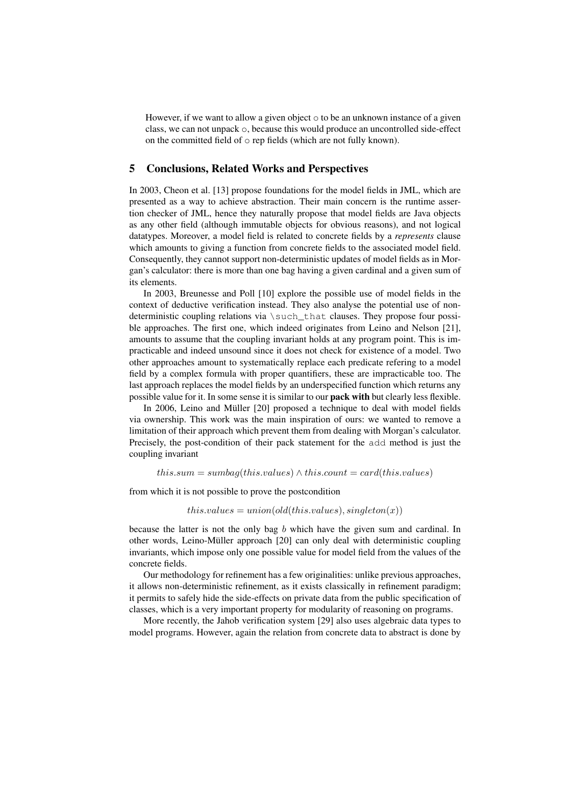However, if we want to allow a given object o to be an unknown instance of a given class, we can not unpack o, because this would produce an uncontrolled side-effect on the committed field of o rep fields (which are not fully known).

## 5 Conclusions, Related Works and Perspectives

In 2003, Cheon et al. [13] propose foundations for the model fields in JML, which are presented as a way to achieve abstraction. Their main concern is the runtime assertion checker of JML, hence they naturally propose that model fields are Java objects as any other field (although immutable objects for obvious reasons), and not logical datatypes. Moreover, a model field is related to concrete fields by a *represents* clause which amounts to giving a function from concrete fields to the associated model field. Consequently, they cannot support non-deterministic updates of model fields as in Morgan's calculator: there is more than one bag having a given cardinal and a given sum of its elements.

In 2003, Breunesse and Poll [10] explore the possible use of model fields in the context of deductive verification instead. They also analyse the potential use of nondeterministic coupling relations via \such\_that clauses. They propose four possible approaches. The first one, which indeed originates from Leino and Nelson [21], amounts to assume that the coupling invariant holds at any program point. This is impracticable and indeed unsound since it does not check for existence of a model. Two other approaches amount to systematically replace each predicate refering to a model field by a complex formula with proper quantifiers, these are impracticable too. The last approach replaces the model fields by an underspecified function which returns any possible value for it. In some sense it is similar to our pack with but clearly less flexible.

In 2006, Leino and Müller [20] proposed a technique to deal with model fields via ownership. This work was the main inspiration of ours: we wanted to remove a limitation of their approach which prevent them from dealing with Morgan's calculator. Precisely, the post-condition of their pack statement for the add method is just the coupling invariant

 $this.sum = sumbag(this.values) \wedge this.count = card(this.values)$ 

from which it is not possible to prove the postcondition

 $this values = union(old(this.values), singleton(x))$ 

because the latter is not the only bag  $b$  which have the given sum and cardinal. In other words, Leino-Müller approach [20] can only deal with deterministic coupling invariants, which impose only one possible value for model field from the values of the concrete fields.

Our methodology for refinement has a few originalities: unlike previous approaches, it allows non-deterministic refinement, as it exists classically in refinement paradigm; it permits to safely hide the side-effects on private data from the public specification of classes, which is a very important property for modularity of reasoning on programs.

More recently, the Jahob verification system [29] also uses algebraic data types to model programs. However, again the relation from concrete data to abstract is done by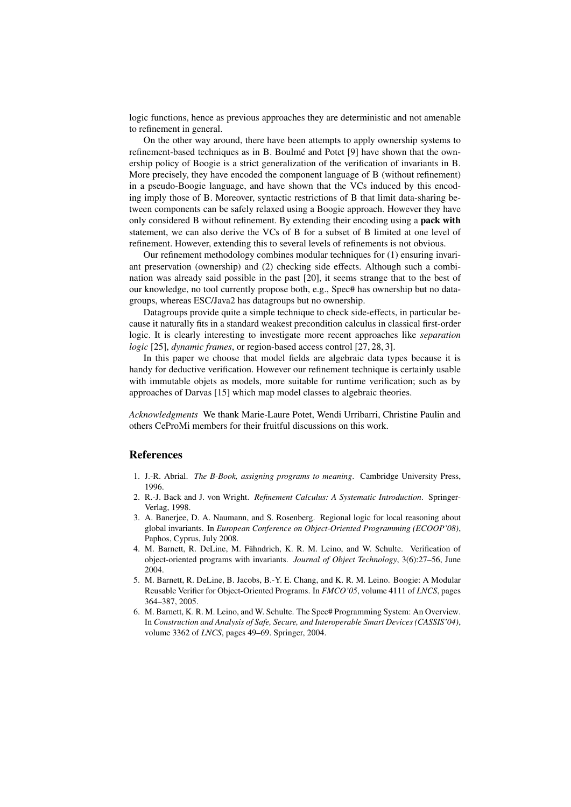logic functions, hence as previous approaches they are deterministic and not amenable to refinement in general.

On the other way around, there have been attempts to apply ownership systems to refinement-based techniques as in B. Boulmé and Potet [9] have shown that the ownership policy of Boogie is a strict generalization of the verification of invariants in B. More precisely, they have encoded the component language of B (without refinement) in a pseudo-Boogie language, and have shown that the VCs induced by this encoding imply those of B. Moreover, syntactic restrictions of B that limit data-sharing between components can be safely relaxed using a Boogie approach. However they have only considered B without refinement. By extending their encoding using a pack with statement, we can also derive the VCs of B for a subset of B limited at one level of refinement. However, extending this to several levels of refinements is not obvious.

Our refinement methodology combines modular techniques for (1) ensuring invariant preservation (ownership) and (2) checking side effects. Although such a combination was already said possible in the past [20], it seems strange that to the best of our knowledge, no tool currently propose both, e.g., Spec# has ownership but no datagroups, whereas ESC/Java2 has datagroups but no ownership.

Datagroups provide quite a simple technique to check side-effects, in particular because it naturally fits in a standard weakest precondition calculus in classical first-order logic. It is clearly interesting to investigate more recent approaches like *separation logic* [25], *dynamic frames*, or region-based access control [27, 28, 3].

In this paper we choose that model fields are algebraic data types because it is handy for deductive verification. However our refinement technique is certainly usable with immutable objets as models, more suitable for runtime verification; such as by approaches of Darvas [15] which map model classes to algebraic theories.

*Acknowledgments* We thank Marie-Laure Potet, Wendi Urribarri, Christine Paulin and others CeProMi members for their fruitful discussions on this work.

# References

- 1. J.-R. Abrial. *The B-Book, assigning programs to meaning*. Cambridge University Press, 1996.
- 2. R.-J. Back and J. von Wright. *Refinement Calculus: A Systematic Introduction*. Springer-Verlag, 1998.
- 3. A. Banerjee, D. A. Naumann, and S. Rosenberg. Regional logic for local reasoning about global invariants. In *European Conference on Object-Oriented Programming (ECOOP'08)*, Paphos, Cyprus, July 2008.
- 4. M. Barnett, R. DeLine, M. Fähndrich, K. R. M. Leino, and W. Schulte. Verification of object-oriented programs with invariants. *Journal of Object Technology*, 3(6):27–56, June 2004.
- 5. M. Barnett, R. DeLine, B. Jacobs, B.-Y. E. Chang, and K. R. M. Leino. Boogie: A Modular Reusable Verifier for Object-Oriented Programs. In *FMCO'05*, volume 4111 of *LNCS*, pages 364–387, 2005.
- 6. M. Barnett, K. R. M. Leino, and W. Schulte. The Spec# Programming System: An Overview. In *Construction and Analysis of Safe, Secure, and Interoperable Smart Devices (CASSIS'04)*, volume 3362 of *LNCS*, pages 49–69. Springer, 2004.